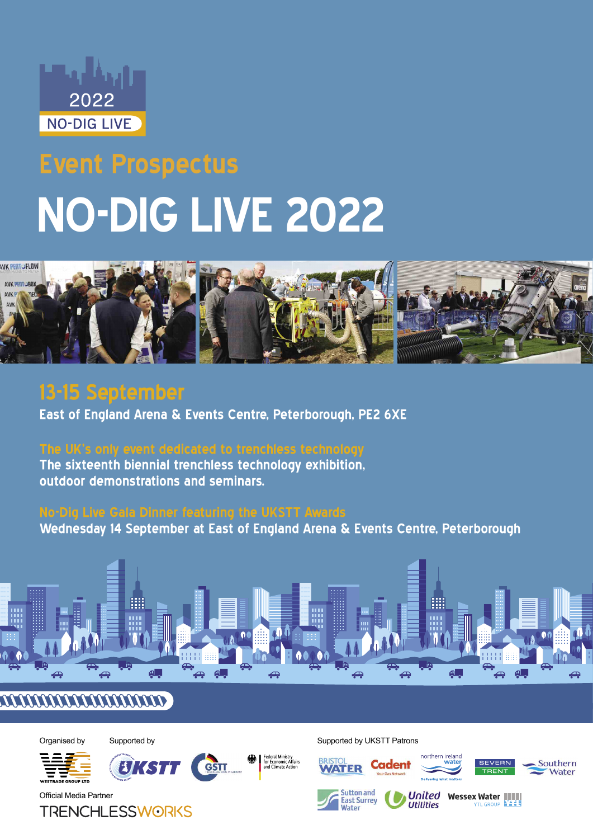

# **Event Prospectus NO-DIG LIVE 2022**



# **13-15 September**

**East of England Arena & Events Centre, Peterborough, PE2 6XE**

**The sixteenth biennial trenchless technology exhibition, outdoor demonstrations and seminars.**

**Wednesday 14 September at East of England Arena & Events Centre, Peterborough**



## **ATAANAANAANAANADOO**





**UKSTT** 



 $-651$ 

Organised by Supported by Supported by Supported by Supported by UKSTT Patrons















Official Media Partner

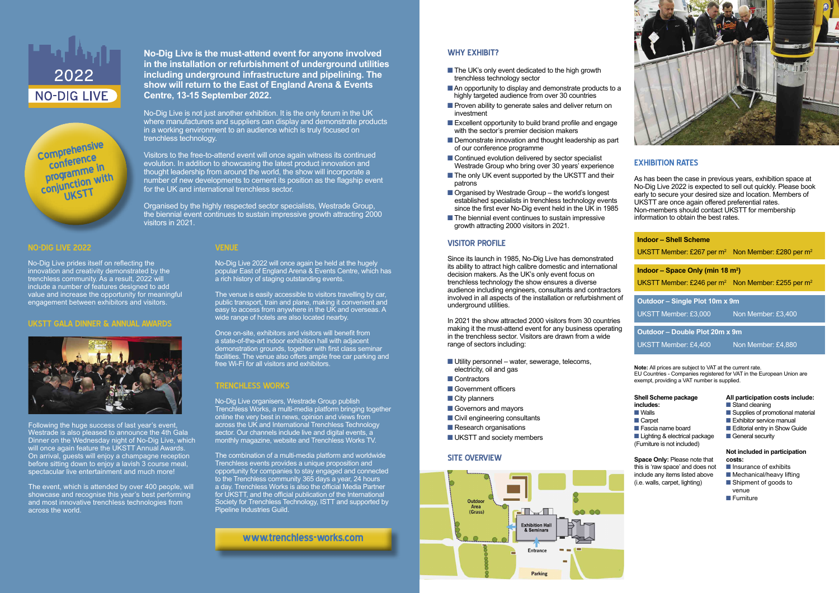| <b>Indoor - Shell Scheme</b><br>UKSTT Member: £267 per $m^2$ Non Member: £280 per $m^2$       |                    |
|-----------------------------------------------------------------------------------------------|--------------------|
| Indoor – Space Only (min 18 $m2$ )<br>UKSTT Member: £246 per $m^2$ Non Member: £255 per $m^2$ |                    |
| Outdoor - Single Plot 10m x 9m<br>UKSTT Member: £3,000                                        | Non Member: £3,400 |
|                                                                                               |                    |



Visitors to the free-to-attend event will once again witness its continued evolution. In addition to showcasing the latest product innovation and thought leadership from around the world, the show will incorporate a number of new developments to cement its position as the flagship event for the UK and international trenchless sector.

### **No-Dig Live is the must-attend event for anyone involved in the installation or refurbishment of underground utilities including underground infrastructure and pipelining. The show will return to the East of England Arena & Events Centre, 13-15 September 2022.**

No-Dig Live is not just another exhibition. It is the only forum in the UK where manufacturers and suppliers can display and demonstrate products in a working environment to an audience which is truly focused on trenchless technology.

#### **All participation costs include:** Stand cleaning

- $\blacksquare$  Supplies of promotional material
- $\blacksquare$  Exhibitor service manual
- **n** Editorial entry in Show Guide
- **n** General security

Organised by the highly respected sector specialists, Westrade Group, the biennial event continues to sustain impressive growth attracting 2000 visitors in 2021.

> **Note:** All prices are subject to VAT at the current rate. EU Countries - Companies registered for VAT in the European Union are exempt, providing a VAT number is supplied.

#### **EXHIBITION RATES**

- The UK's only event dedicated to the high growth trenchless technology sector
- An opportunity to display and demonstrate products to a highly targeted audience from over 30 countries
- **n** Proven ability to generate sales and deliver return on investment
- $\blacksquare$  Excellent opportunity to build brand profile and engage with the sector's premier decision makers
- $\blacksquare$  Demonstrate innovation and thought leadership as part of our conference programme
- $\blacksquare$  Continued evolution delivered by sector specialist Westrade Group who bring over 30 years' experience
- $\blacksquare$  The only UK event supported by the UKSTT and their patrons
- $\blacksquare$  Organised by Westrade Group the world's longest established specialists in trenchless technology events since the first ever No-Dig event held in the UK in 1985
- $\blacksquare$  The biennial event continues to sustain impressive growth attracting 2000 visitors in 2021.

As has been the case in previous years, exhibition space at No-Dig Live 2022 is expected to sell out quickly. Please book early to secure your desired size and location. Members of UKSTT are once again offered preferential rates. Non-members should contact UKSTT for membership information to obtain the best rates.

#### **Not included in participation costs:**

- **n** Insurance of exhibits
- $\blacksquare$  Mechanical/heavy lifting ■ Shipment of goods to
- venue
- **n** Furniture
- **includes:**
- **N** Walls **n** Carpet
- 
- **n** Fascia name board

#### **WHY EXHIBIT?**

**n** Lighting & electrical package (Furniture is not included)

#### **VISITOR PROFILE**

Since its launch in 1985, No-Dig Live has demonstrated its ability to attract high calibre domestic and international decision makers. As the UK's only event focus on trenchless technology the show ensures a diverse audience including engineers, consultants and contractors involved in all aspects of the installation or refurbishment of underground utilities.



**Comprehensive conference programme in conjunction with** 

> In 2021 the show attracted 2000 visitors from 30 countries making it the must-attend event for any business operating in the trenchless sector. Visitors are drawn from a wide range of sectors including:

- $\blacksquare$  Utility personnel water, sewerage, telecoms, electricity, oil and gas
- **n** Contractors
- **n** Government officers
- $\blacksquare$  City planners
- **n** Governors and mayors
- Civil engineering consultants
- $\blacksquare$  Research organisations
- **N** UKSTT and society members

#### **NO-DIG LIVE 2022**

No-Dig Live prides itself on reflecting the innovation and creativity demonstrated by the trenchless community. As a result, 2022 will include a number of features designed to add value and increase the opportunity for meaningful engagement between exhibitors and visitors.

#### **UKSTT GALA DINNER & ANNUAL AWARDS**



#### **Shell Scheme package**

**Space Only:** Please note that this is 'raw space' and does not include any items listed above (i.e. walls, carpet, lighting)

#### **SITE OVERVIEW**



Following the huge success of last year's event, Westrade is also pleased to announce the 4th Gala Dinner on the Wednesday night of No-Dig Live, which will once again feature the UKSTT Annual Awards. On arrival, guests will enjoy a champagne reception before sitting down to enjoy a lavish 3 course meal, spectacular live entertainment and much more!

The event, which is attended by over 400 people, will showcase and recognise this year's best performing and most innovative trenchless technologies from across the world.

#### **VENUE**

No-Dig Live 2022 will once again be held at the hugely popular East of England Arena & Events Centre, which has a rich history of staging outstanding events.

The venue is easily accessible to visitors travelling by car, public transport, train and plane, making it convenient and easy to access from anywhere in the UK and overseas. A wide range of hotels are also located nearby.

Once on-site, exhibitors and visitors will benefit from a state-of-the-art indoor exhibition hall with adjacent demonstration grounds, together with first class seminar facilities. The venue also offers ample free car parking and free Wi-Fi for all visitors and exhibitors.

#### **TRENCHLESS WORKS**

No-Dig Live organisers, Westrade Group publish Trenchless Works, a multi-media platform bringing together online the very best in news, opinion and views from across the UK and International Trenchless Technology sector. Our channels include live and digital events, a monthly magazine, website and Trenchless Works TV.

The combination of a multi-media platform and worldwide Trenchless events provides a unique proposition and opportunity for companies to stay engaged and connected to the Trenchless community 365 days a year, 24 hours a day. Trenchless Works is also the official Media Partner for UKSTT, and the official publication of the International Society for Trenchless Technology, ISTT and supported by Pipeline Industries Guild.

**www.trenchless-works.com**